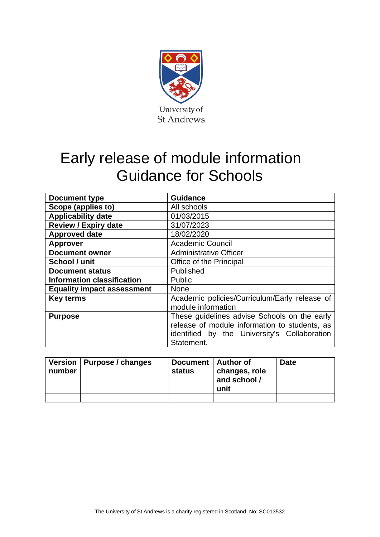

## Early release of module information Guidance for Schools

| <b>Document type</b>              | <b>Guidance</b>                                                                                                                                             |  |  |
|-----------------------------------|-------------------------------------------------------------------------------------------------------------------------------------------------------------|--|--|
| Scope (applies to)                | All schools                                                                                                                                                 |  |  |
| <b>Applicability date</b>         | 01/03/2015                                                                                                                                                  |  |  |
| <b>Review / Expiry date</b>       | 31/07/2023                                                                                                                                                  |  |  |
| <b>Approved date</b>              | 18/02/2020                                                                                                                                                  |  |  |
| <b>Approver</b>                   | <b>Academic Council</b>                                                                                                                                     |  |  |
| <b>Document owner</b>             | <b>Administrative Officer</b>                                                                                                                               |  |  |
| School / unit                     | Office of the Principal                                                                                                                                     |  |  |
| <b>Document status</b>            | Published                                                                                                                                                   |  |  |
| <b>Information classification</b> | <b>Public</b>                                                                                                                                               |  |  |
| <b>Equality impact assessment</b> | <b>None</b>                                                                                                                                                 |  |  |
| <b>Key terms</b>                  | Academic policies/Curriculum/Early release of<br>module information                                                                                         |  |  |
| <b>Purpose</b>                    | These guidelines advise Schools on the early<br>release of module information to students, as<br>identified by the University's Collaboration<br>Statement. |  |  |

| number | Version   Purpose / changes | Document   Author of<br><b>status</b> | changes, role<br>and school /<br>unit | <b>Date</b> |
|--------|-----------------------------|---------------------------------------|---------------------------------------|-------------|
|        |                             |                                       |                                       |             |